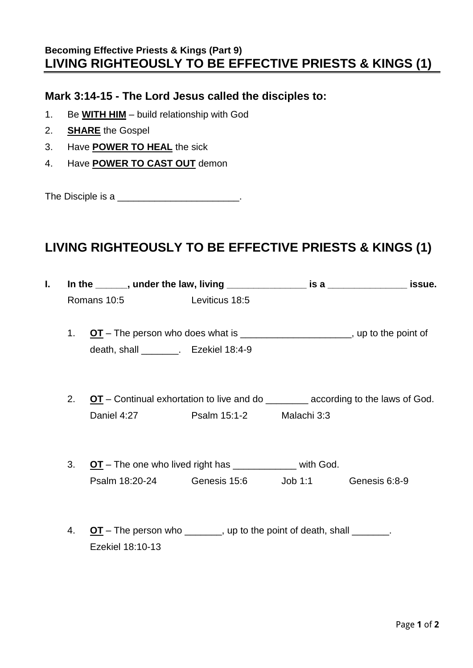## **Becoming Effective Priests & Kings (Part 9) LIVING RIGHTEOUSLY TO BE EFFECTIVE PRIESTS & KINGS (1)**

## **Mark 3:14-15 - The Lord Jesus called the disciples to:**

- 1. Be **WITH HIM** build relationship with God
- 2. **SHARE** the Gospel
- 3. Have **POWER TO HEAL** the sick
- 4. Have **POWER TO CAST OUT** demon

The Disciple is a \_\_\_\_\_\_\_\_\_\_\_\_\_\_\_\_\_\_\_\_\_\_\_\_.

## **LIVING RIGHTEOUSLY TO BE EFFECTIVE PRIESTS & KINGS (1)**

| I. |    | In the $\_\_\_\$ , under the law, living $\_\_\_\_\_\_\_\_\$ is a $\_\_\_\_\_\_\_\_\_\_\_\$ issue. |  |  |  |  |
|----|----|----------------------------------------------------------------------------------------------------|--|--|--|--|
|    |    | Romans 10:5 Leviticus 18:5                                                                         |  |  |  |  |
|    | 1. | $OT$ – The person who does what is _______________________, up to the point of                     |  |  |  |  |
|    |    | death, shall ________. Ezekiel 18:4-9                                                              |  |  |  |  |
|    |    |                                                                                                    |  |  |  |  |
|    | 2. | $OT$ – Continual exhortation to live and do _________ according to the laws of God.                |  |  |  |  |
|    |    | Daniel 4:27 Psalm 15:1-2 Malachi 3:3                                                               |  |  |  |  |
|    | 3. | OT - The one who lived right has ____________ with God.                                            |  |  |  |  |
|    |    | Psalm 18:20-24    Genesis 15:6    Job 1:1    Genesis 6:8-9                                         |  |  |  |  |
|    |    |                                                                                                    |  |  |  |  |
|    | 4. | $OT$ – The person who _______, up to the point of death, shall _______.                            |  |  |  |  |
|    |    | Ezekiel 18:10-13                                                                                   |  |  |  |  |